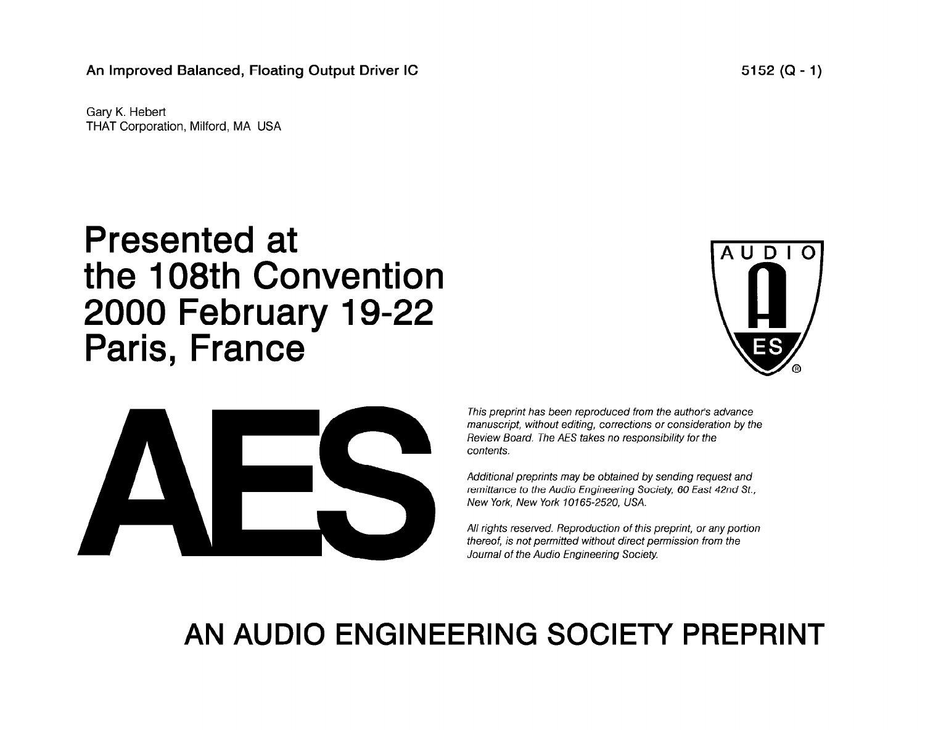An Improved Balanced, Floating Output Driver IC **5152 (Q - 1)** 5152 (Q - 1)

Gary K. Hebert THAT Corporation, Milford, MA USA

# Presented at the 108th Convention 2000 February 19-22 Paris, France





*This preprint has been reproduced from the author's advance manuscript, without editing, corrections or consideration by the Review Board. The AES takes no responsibility for the contents.* 

*Additional preprints may be obtained by sending request and remittance to the Audio Engineering Society, 60 East 42nd St., New York, New York 10165-2520, USA.* 

*All rights reserved. Reproduction of this preprint, or any portion thereof, is not permitted without direct permission from the Journal of the Audio Engineering Society.* 

# **AN AUDIO ENGINEERING SOCIETY PREPRINT**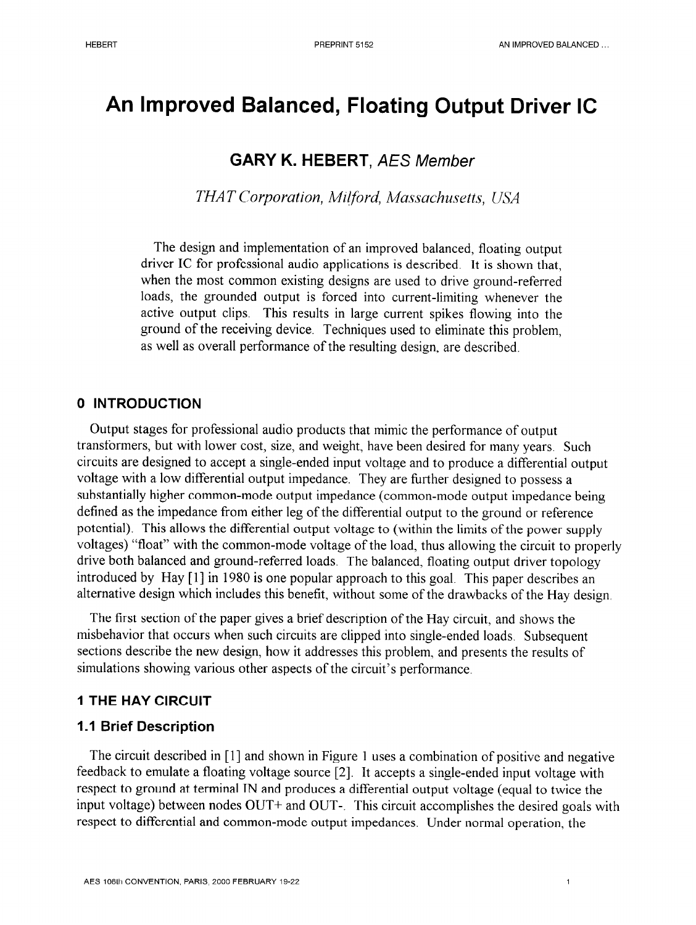# **An Improved Balanced, Floating Output Driver IC**

# **GARY K. HEBERT,** *AES Member*

*THAT Corporation, Milford, Massachusetts, lJll'A* 

The design and implementation of an improved balanced, floating output driver IC for professional audio applications is described. It is shown that, when the most common existing designs are used to drive ground-referred loads, the grounded output is forced into current-limiting whenever the active output clips. This results in large current spikes flowing into the ground of the receiving device. Techniques used to eliminate this problem, as well as overall performance of the resulting design, are described.

#### **0 INTRODUCTION**

Output stages for professional audio products that mimic the performance of output transformers, but with lower cost, size, and weight, have been desired for many years. Such circuits are designed to accept a single-ended input voltage and to produce a differential output voltage with a low differential output impedance. They are further designed to possess a substantially higher common-mode output impedance (common-mode output impedance being defined as the impedance from either leg of the differential output to the ground or reference potential). This allows the differential output voltage to (within the limits of the power supply voltages) "float" with the common-mode voltage of the load, thus allowing the circuit to properly drive both balanced and ground-referred loads. The balanced, floating output driver topology introduced by Hay [l] in 1980 is one popular approach to this goal. This paper describes an alternative design which includes this benefit, without some of the drawbacks of the Hay design.

The first section of the paper gives a brief description of the Hay circuit, and shows the misbehavior that occurs when such circuits are clipped into single-ended loads. Subsequent sections describe the new design, how it addresses this problem, and presents the results of simulations showing various other aspects of the circuit's performance.

#### **1 THE HAY CIRCUIT**

#### **1 .I Brief Description**

The circuit described in [1] and shown in Figure 1 uses a combination of positive and negative feedback to emulate a floating voltage source [2]. It accepts a single-ended input voltage with respect to ground at terminal IN and produces a differential output voltage (equal to twice the input voltage) between nodes OUT+ and OUT-. This circuit accomplishes the desired goals with respect to differential and common-mode output impedances. Under normal operation, the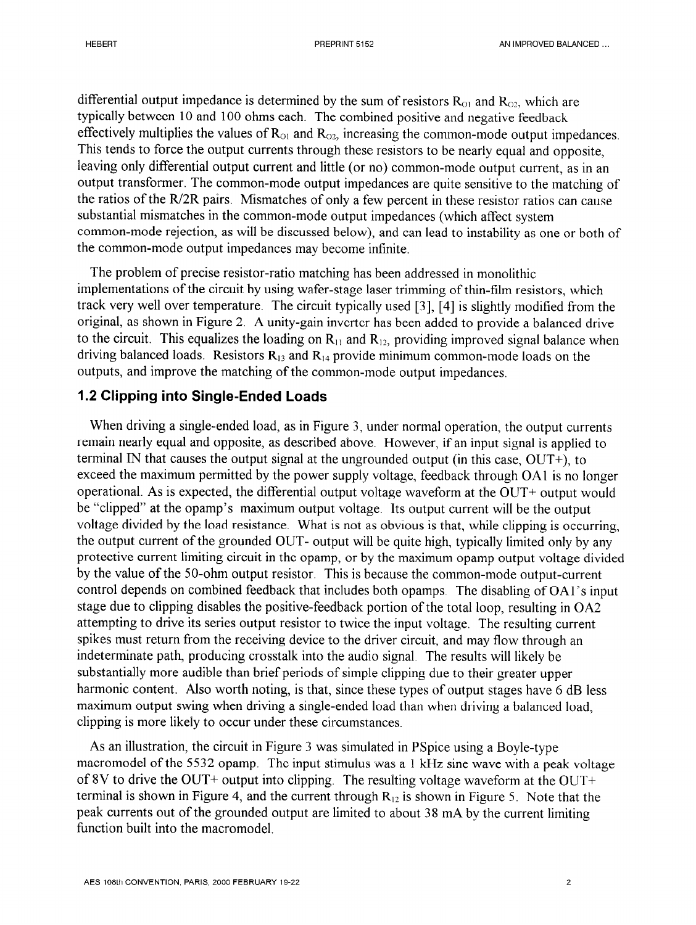differential output impedance is determined by the sum of resistors  $R_{O1}$  and  $R_{O2}$ , which are typically between 10 and 100 ohms each. The combined positive and negative feedback effectively multiplies the values of  $R_{\text{O1}}$  and  $R_{\text{O2}}$ , increasing the common-mode output impedances. This tends to force the output currents through these resistors to be nearly equal and opposite, leaving only differential output current and little (or no) common-mode output current, as in an output transformer. The common-mode output impedances are quite sensitive to the matching of the ratios of the R/2R pairs. Mismatches of only a few percent in these resistor ratios can cause substantial mismatches in the common-mode output impedances (which affect system common-mode rejection, as will be discussed below), and can lead to instability as one or both of the common-mode output impedances may become infinite.

The problem of precise resistor-ratio matching has been addressed in monolithic implementations of the circuit by using wafer-stage laser trimming of thin-film resistors, which track very well over temperature. The circuit typically used [3], [4] is slightly modified from the original, as shown in Figure 2. A unity-gain inverter has been added to provide a balanced drive to the circuit. This equalizes the loading on  $R<sub>11</sub>$  and  $R<sub>12</sub>$ , providing improved signal balance when driving balanced loads. Resistors  $R_{13}$  and  $R_{14}$  provide minimum common-mode loads on the outputs, and improve the matching of the common-mode output impedances.

#### **1.2 Clipping into Single-Ended Loads**

When driving a single-ended load, as in Figure 3, under normal operation, the output currents remain nearly equal and opposite, as described above. However, if an input signal is applied to terminal IN that causes the output signal at the ungrounded output (in this case, OUT+), to exceed the maximum permitted by the power supply voltage, feedback through OAl is no longer operational. As is expected, the differential output voltage waveform at the OUT+ output would be "clipped" at the opamp's maximum output voltage. Its output current will be the output voltage divided by the load resistance. What is not as obvious is that, while clipping is occurring, the output current of the grounded OUT- output will be quite high, typically limited only by any protective current limiting circuit in the opamp, or by the maximum opamp output voltage divided by the value of the 50-ohm output resistor. This is because the common-mode output-current control depends on combined feedback that includes both opamps. The disabling of OAl's input stage due to clipping disables the positive-feedback portion of the total loop, resulting in 0A2 attempting to drive its series output resistor to twice the input voltage. The resulting current spikes must return from the receiving device to the driver circuit, and may flow through an indeterminate path, producing crosstalk into the audio signal. The results will likely be substantially more audible than brief periods of simple clipping due to their greater upper harmonic content. Also worth noting, is that, since these types of output stages have 6 dB less maximum output swing when driving a single-ended load than when driving a balanced load, clipping is more likely to occur under these circumstances.

As an illustration, the circuit in Figure 3 was simulated in PSpice using a Boyle-type macromodel of the 5532 opamp. The input stimulus was a 1 kHz sine wave with a peak voltage of 8V to drive the OUT+ output into clipping. The resulting voltage waveform at the OUT+ terminal is shown in Figure 4, and the current through  $R_{12}$  is shown in Figure 5. Note that the peak currents out of the grounded output are limited to about 38 mA by the current limiting function built into the macromodel.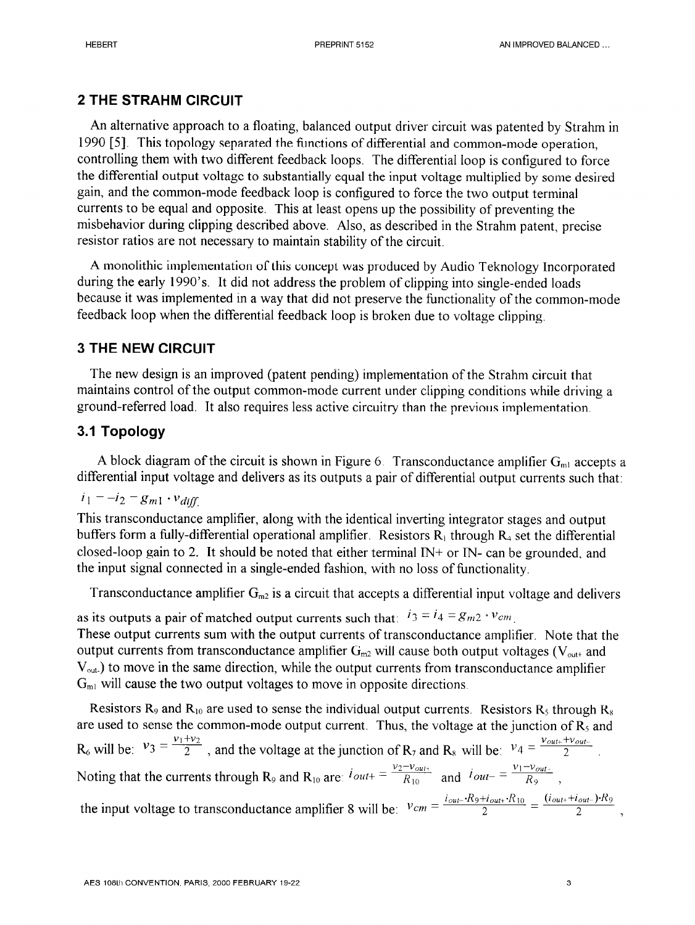# **2 THE STRAHM CIRCUIT**

An alternative approach to a floating, balanced output driver circuit was patented by Strahm in 1990 [5]. This topology separated the functions of differential and common-mode operation, controlling them with two different feedback loops. The differential loop is configured to force the differential output voltage to substantially equal the input voltage multiplied by some desired gain, and the common-mode feedback loop is configured to force the two output terminal currents to be equal and opposite. This at least opens up the possibility of preventing the misbehavior during clipping described above. Also, as described in the Strahm patent, precise resistor ratios are not necessary to maintain stability of the circuit.

A monolithic implementation of this concept was produced by Audio Teknology Incorporated during the early 1990's. It did not address the problem of clipping into single-ended loads because it was implemented in a way that did not preserve the functionality of the common-mode feedback loop when the differential feedback loop is broken due to voltage clipping.

## **3 THE NEW CIRCUIT**

The new design is an improved (patent pending) implementation of the Strahm circuit that maintains control of the output common-mode current under clipping conditions while driving a ground-referred load. It also requires less active circuitry than the previous implementation.

# 3.1 **Topology**

A block diagram of the circuit is shown in Figure 6. Transconductance amplifier  $G<sub>m1</sub>$  accepts a differential input voltage and delivers as its outputs a pair of differential output currents such that:

$$
i_1 = -i_2 = g_{m1} \cdot v_{diff}
$$

This transconductance amplifier, along with the identical inverting integrator stages and output buffers form a fully-differential operational amplifier. Resistors  $R_1$  through  $R_4$  set the differential closed-loop gain to 2. It should be noted that either terminal  $IN+$  or  $IN-$  can be grounded, and the input signal connected in a single-ended fashion. with no loss of functionality.

Transconductance amplifier  $G_{m2}$  is a circuit that accepts a differential input voltage and delivers

as its outputs a pair of matched output currents such that:  $i_3 = i_4 = g_{m2} \cdot v_{cm}$ . These output currents sum with the output currents of transconductance amplifier. Note that the output currents from transconductance amplifier  $G<sub>m2</sub>$  will cause both output voltages ( $V<sub>out+</sub>$  and  $V<sub>out</sub>$ ) to move in the same direction, while the output currents from transconductance amplifier  $G<sub>m1</sub>$  will cause the two output voltages to move in opposite directions.

Resistors R<sub>9</sub> and R<sub>10</sub> are used to sense the individual output currents. Resistors R<sub>5</sub> through R<sub>8</sub> are used to sense the common-mode output current. Thus, the voltage at the junction of  $R_5$  and  $R_6$  will be:  $v_3 = \frac{v_1 + v_2}{2}$ , and the voltage at the junction of  $R_7$  and  $R_8$  will be:  $v_4 = \frac{v_{out+} + v_{out-}}{2}$ Noting that the currents through R<sub>9</sub> and R<sub>10</sub> are:  $i_{out+} = \frac{v_2 - v_{out+}}{R_{10}}$  and  $i_{out-} = \frac{v_1 - v_{out-}}{R_9}$ , the input voltage to transconductance amplifier 8 will be:  $Vcm \equiv$  $i_{out}$ - $R_9$ + $i_{out+}$ • $R_{10}$  $\frac{H_{out+} \cdot R_{10}}{2} = \frac{(I_{out+}+I_{out-}) \cdot R_9}{2} ,$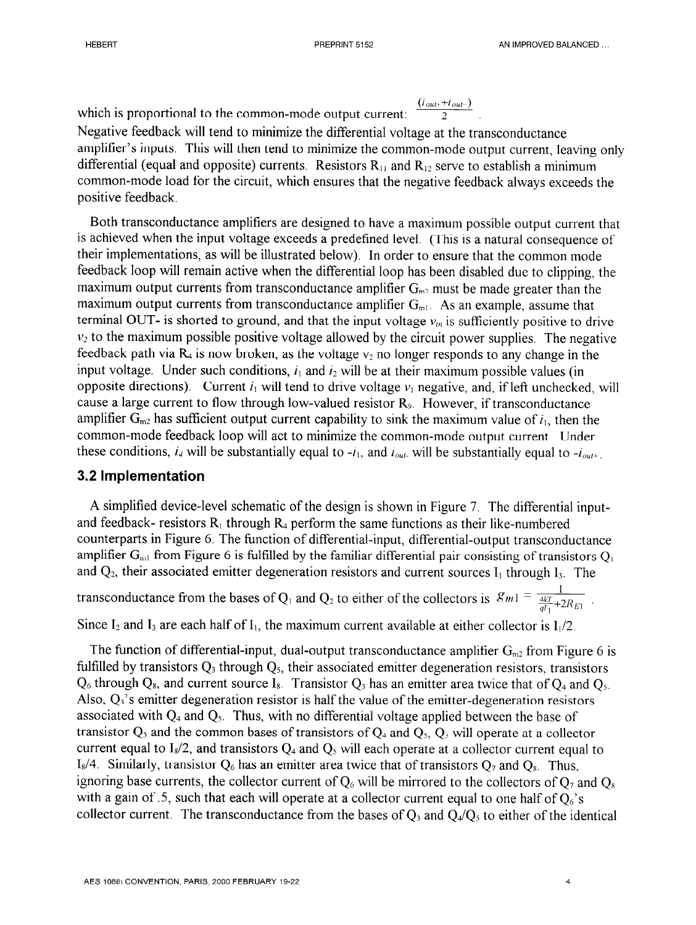which is proportional to the common-mode output current:  $(i_{\text{out+}}+i_{\text{out-}})$ 

Negative feedback will tend to minimize the differential voltage at the transconductance amplifier's inputs. This will then tend to minimize the common-mode output current, leaving only differential (equal and opposite) currents. Resistors  $R_{11}$  and  $R_{12}$  serve to establish a minimum common-mode load for the circuit, which ensures that the negative feedback always exceeds the positive feedback.

2

Both transconductance amplifiers are designed to have a maximum possible output current that is achieved when the input voltage exceeds a predefined level. (This is a natural consequence of their implementations, as will be illustrated below). In order to ensure that the common mode feedback loop will remain active when the differential loop has been disabled due to clipping, the maximum output currents from transconductance amplifier  $G<sub>m2</sub>$  must be made greater than the maximum output currents from transconductance amplifier  $G<sub>m1</sub>$ . As an example, assume that terminal OUT- is shorted to ground, and that the input voltage  $v_{in}$  is sufficiently positive to drive  $v_2$  to the maximum possible positive voltage allowed by the circuit power supplies. The negative feedback path via  $R_4$  is now broken, as the voltage  $v_2$  no longer responds to any change in the input voltage. Under such conditions,  $i_1$  and  $i_2$  will be at their maximum possible values (in opposite directions). Current  $i_1$  will tend to drive voltage  $v_1$  negative, and, if left unchecked, will cause a large current to flow through low-valued resistor R<sub>9</sub>. However, if transconductance amplifier  $G_{m2}$  has sufficient output current capability to sink the maximum value of  $i_1$ , then the common-mode feedback loop will act to minimize the common-mode output current Under these conditions,  $i_4$  will be substantially equal to  $-i_1$ , and  $i_{out}$  will be substantially equal to  $-i_{out^+}$ .

### 3.2 **Implementation**

A simplified device-level schematic of the design is shown in Figure 7. The differential inputand feedback- resistors  $R_1$  through  $R_4$  perform the same functions as their like-numbered counterparts in Figure 6. The function of differential-input, differential-output transconductance amplifier  $G_{m1}$  from Figure 6 is fulfilled by the familiar differential pair consisting of transistors  $Q_1$ and  $Q_2$ , their associated emitter degeneration resistors and current sources  $I_1$  through  $I_3$ . The

transconductance from the bases of Q<sub>1</sub> and Q<sub>2</sub> to either of the collectors is  $|\mathcal{S}_m| = \frac{1}{4kT + 2kT}$  $\overline{qI_1}$ <sup>+</sup><sup>Z</sup> $\overline{R}$ 

Since  $I_2$  and  $I_3$  are each half of  $I_1$ , the maximum current available at either collector is  $I_1/2$ .

The function of differential-input, dual-output transconductance amplifier  $G_{m2}$  from Figure 6 is fulfilled by transistors  $Q_3$  through  $Q_5$ , their associated emitter degeneration resistors, transistors  $Q_6$  through  $Q_8$ , and current source  $I_8$ . Transistor  $Q_3$  has an emitter area twice that of  $Q_4$  and  $Q_5$ . Also,  $Q_3$ 's emitter degeneration resistor is half the value of the emitter-degeneration resistors associated with  $Q_4$  and  $Q_5$ . Thus, with no differential voltage applied between the base of transistor  $Q_3$  and the common bases of transistors of  $Q_4$  and  $Q_5$ ,  $Q_3$  will operate at a collector current equal to  $I_8/2$ , and transistors  $Q_4$  and  $Q_5$  will each operate at a collector current equal to I<sub>s</sub>/4. Similarly, transistor  $Q_6$  has an emitter area twice that of transistors  $Q_7$  and  $Q_8$ . Thus, ignoring base currents, the collector current of  $Q_6$  will be mirrored to the collectors of  $Q_7$  and  $Q_8$ with a gain of .5, such that each will operate at a collector current equal to one half of  $Q_6$ 's collector current. The transconductance from the bases of  $Q_3$  and  $Q_4/Q_5$  to either of the identical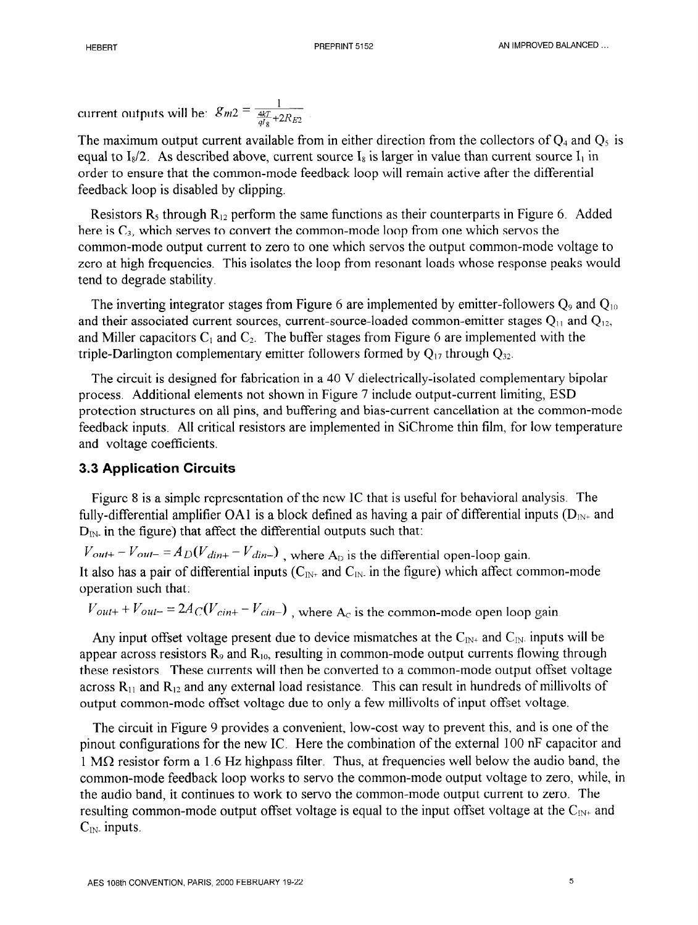current outputs will be:  $g_{m2} = \frac{1}{4kT_{+2}}$  $\frac{4kT}{aI_8}+2R_{E2}$ 

The maximum output current available from in either direction from the collectors of  $Q_4$  and  $Q_5$  is equal to  $I_8/2$ . As described above, current source  $I_8$  is larger in value than current source  $I_1$  in order to ensure that the common-mode feedback loop will remain active after the differential feedback loop is disabled by clipping.

Resistors  $R_5$  through  $R_{12}$  perform the same functions as their counterparts in Figure 6. Added here is  $C_3$ , which serves to convert the common-mode loop from one which servos the common-mode output current to zero to one which servos the output common-mode voltage to zero at high frequencies. This isolates the loop from resonant loads whose response peaks would tend to degrade stability.

The inverting integrator stages from Figure 6 are implemented by emitter-followers  $Q_9$  and  $Q_{10}$ and their associated current sources, current-source-loaded common-emitter stages  $Q_{11}$  and  $Q_{12}$ , and Miller capacitors  $C_1$  and  $C_2$ . The buffer stages from Figure 6 are implemented with the triple-Darlington complementary emitter followers formed by  $Q_{17}$  through  $Q_{32}$ .

The circuit is designed for fabrication in a 40 V dielectrically-isolated complementary bipolar process Additional elements not shown in Figure 7 include output-current limiting, ESD protection structures on all pins, and buffering and bias-current cancellation at the common-mode feedback inputs. All critical resistors are implemented in SiChrome thin film, for low temperature and voltage coefficients.

#### 3.3 **Application Circuits**

Figure 8 is a simple representation of the new IC that is useful for behavioral analysis. The fully-differential amplifier OA1 is a block defined as having a pair of differential inputs  $(D_{N^+}$  and  $D_{\text{IN}}$  in the figure) that affect the differential outputs such that:

 $V_{\text{out+}} - V_{\text{out-}} = A_D (V_{\text{dim+}} - V_{\text{dim-}})$ , where A<sub>D</sub> is the differential open-loop gain. It also has a pair of differential inputs ( $C_{IN^+}$  and  $C_{IN^-}$  in the figure) which affect common-mode operation such that:

 $V_{out+} + V_{out-} = 2A_C(V_{cint} - V_{cin-})$ , where A<sub>c</sub> is the common-mode open loop gain

Any input offset voltage present due to device mismatches at the  $C_{IN^+}$  and  $C_{IN^-}$  inputs will be appear across resistors  $R_9$  and  $R_{10}$ , resulting in common-mode output currents flowing through these resistors. These currents will then be converted to a common-mode output offset voltage across  $R_{11}$  and  $R_{12}$  and any external load resistance. This can result in hundreds of millivolts of output common-mode offset voltage due to only a few millivolts of input offset voltage.

The circuit in Figure 9 provides a convenient, low-cost way to prevent this, and is one of the pinout configurations for the new IC. Here the combination of the external 100 nF capacitor and  $1 M\Omega$  resistor form a 1.6 Hz highpass filter. Thus, at frequencies well below the audio band, the common-mode feedback loop works to servo the common-mode output voltage to zero, while, in the audio band, it continues to work to servo the common-mode output current to zero. The resulting common-mode output offset voltage is equal to the input offset voltage at the  $C_{\text{IN+}}$  and  $C_{\text{IN}}$  inputs.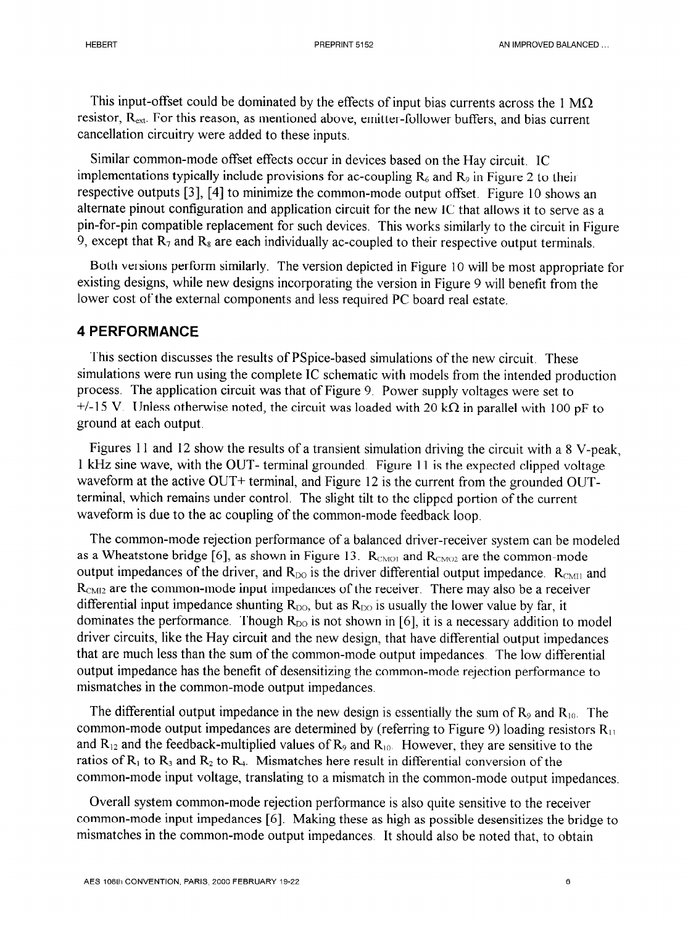This input-offset could be dominated by the effects of input bias currents across the 1  $\text{M}\Omega$ resistor, R<sub>ext</sub>. For this reason, as mentioned above, emitter-follower buffers, and bias current cancellation circuitry were added to these inputs.

Similar common-mode offset effects occur in devices based on the Hay circuit. IC implementations typically include provisions for ac-coupling  $R_6$  and  $R_9$  in Figure 2 to their respective outputs [3], [4] to minimize the common-mode output offset. Figure 10 shows an alternate pinout configuration and application circuit for the new IC that allows it to serve as a pin-for-pin compatible replacement for such devices. This works similarly to the circuit in Figure 9, except that  $R_7$  and  $R_8$  are each individually ac-coupled to their respective output terminals.

Both versions perform similarly. The version depicted in Figure 10 will be most appropriate for existing designs, while new designs incorporating the version in Figure 9 will benefit from the lower cost of the external components and less required PC board real estate.

### 4 **PERFORMANCE**

This section discusses the results of PSpice-based simulations of the new circuit. These simulations were run using the complete IC schematic with models from the intended production process. The application circuit was that of Figure 9. Power supply voltages were set to  $+/-15$  V. Unless otherwise noted, the circuit was loaded with 20 k $\Omega$  in parallel with 100 pF to ground at each output.

Figures 11 and 12 show the results of a transient simulation driving the circuit with a 8 V-peak, 1 kHz sine wave, with the OUT- terminal grounded. Figure 11 is the expected clipped voltage waveform at the active OUT+ terminal, and Figure 12 is the current from the grounded OUTterminal, which remains under control. The slight tilt to the clipped portion of the current waveform is due to the ac coupling of the common-mode feedback loop.

The common-mode rejection performance of a balanced driver-receiver system can be modeled as a Wheatstone bridge [6], as shown in Figure 13.  $R_{CMO1}$  and  $R_{CMO2}$  are the common-mode output impedances of the driver, and  $R_{DO}$  is the driver differential output impedance.  $R_{CMI}$  and  $R<sub>CMI2</sub>$  are the common-mode input impedances of the receiver. There may also be a receiver differential input impedance shunting  $R_{\text{DO}}$ , but as  $R_{\text{DO}}$  is usually the lower value by far, it dominates the performance. Though  $R_{\text{DO}}$  is not shown in [6], it is a necessary addition to model driver circuits, like the Hay circuit and the new design, that have differential output impedances that are much less than the sum of the common-mode output impedances. The low differential output impedance has the benefit of desensitizing the common-mode rejection performance to mismatches in the common-mode output impedances.

The differential output impedance in the new design is essentially the sum of  $R_9$  and  $R_{10}$ . The common-mode output impedances are determined by (referring to Figure 9) loading resistors  $R_{11}$ and  $R_{12}$  and the feedback-multiplied values of  $R_9$  and  $R_{10}$ . However, they are sensitive to the ratios of  $R_1$  to  $R_3$  and  $R_2$  to  $R_4$ . Mismatches here result in differential conversion of the common-mode input voltage, translating to a mismatch in the common-mode output impedances.

Overall system common-mode rejection performance is also quite sensitive to the receiver common-mode input impedances [6]. Making these as high as possible desensitizes the bridge to mismatches in the common-mode output impedances. It should also be noted that, to obtain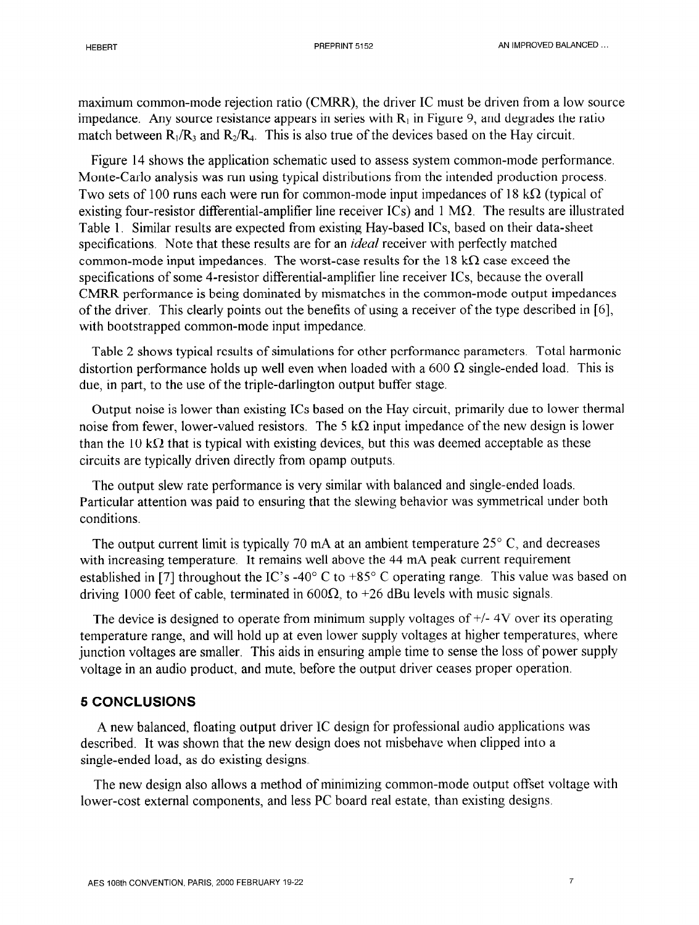maximum common-mode rejection ratio (CMRR), the driver IC must be driven from a low source impedance. Any source resistance appears in series with  $R_1$  in Figure 9, and degrades the ratio match between  $R_1/R_3$  and  $R_2/R_4$ . This is also true of the devices based on the Hay circuit.

Figure 14 shows the application schematic used to assess system common-mode performance. Monte-Carlo analysis was run using typical distributions from the intended production process. Two sets of 100 runs each were run for common-mode input impedances of 18 k $\Omega$  (typical of existing four-resistor differential-amplifier line receiver  $\text{ICs}$ ) and 1 M $\Omega$ . The results are illustrated Table 1. Similar results are expected from existing Hay-based ICs, based on their data-sheet specifications. Note that these results are for an *ideal* receiver with perfectly matched common-mode input impedances. The worst-case results for the 18 k $\Omega$  case exceed the specifications of some 4-resistor differential-amplifier line receiver ICs, because the overall CMRR performance is being dominated by mismatches in the common-mode output impedances of the driver. This clearly points out the benefits of using a receiver of the type described in [6], with bootstrapped common-mode input impedance.

Table 2 shows typical results of simulations for other performance parameters, Total harmonic distortion performance holds up well even when loaded with a 600  $\Omega$  single-ended load. This is due, in part, to the use of the triple-darlington output buffer stage.

Output noise is lower than existing ICs based on the Hay circuit, primarily due to lower thermal noise from fewer, lower-valued resistors. The 5 k $\Omega$  input impedance of the new design is lower than the 10 k $\Omega$  that is typical with existing devices, but this was deemed acceptable as these circuits are typically driven directly from opamp outputs.

The output slew rate performance is very similar with balanced and single-ended loads. Particular attention was paid to ensuring that the slewing behavior was symmetrical under both conditions.

The output current limit is typically 70 mA at an ambient temperature  $25^{\circ}$  C, and decreases with increasing temperature. It remains well above the 44 mA peak current requirement established in [7] throughout the IC's -40 $\degree$ C to +85 $\degree$ C operating range. This value was based on driving 1000 feet of cable, terminated in  $600\Omega$ , to +26 dBu levels with music signals.

The device is designed to operate from minimum supply voltages of +/- 4V over its operating temperature range, and will hold up at even lower supply voltages at higher temperatures, where junction voltages are smaller. This aids in ensuring ample time to sense the loss of power supply voltage in an audio product, and mute, before the output driver ceases proper operation.

#### **5 CONCLUSIONS**

A new balanced, floating output driver IC design for professional audio applications was described. It was shown that the new design does not misbehave when clipped into a single-ended load, as do existing designs

The new design also allows a method of minimizing common-mode output offset voltage with lower-cost external components, and less PC board real estate, than existing designs.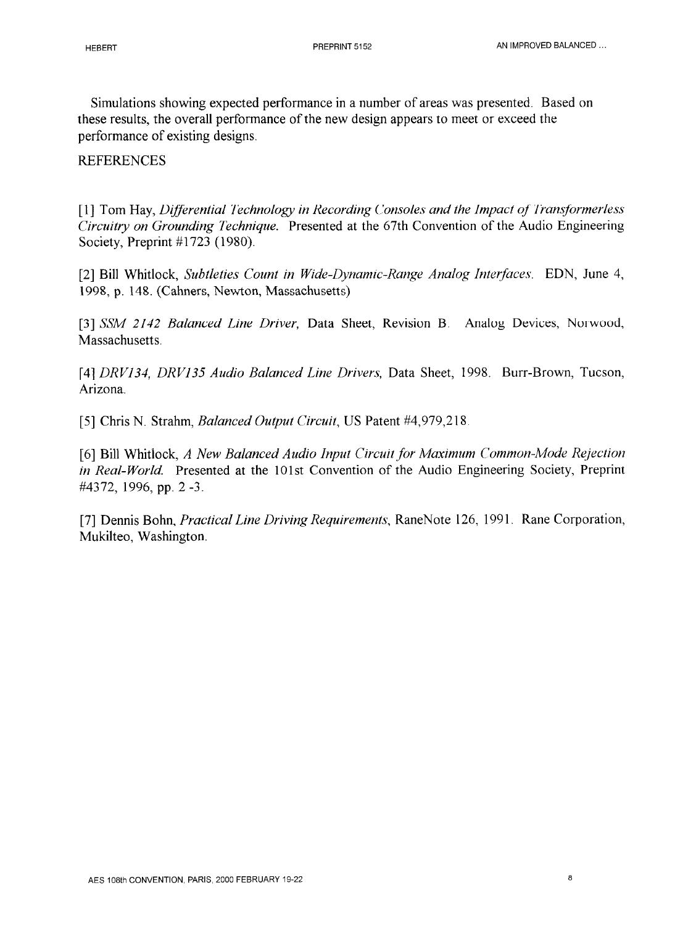Simulations showing expected performance in a number of areas was presented. Based on these results, the overall performance of the new design appears to meet or exceed the performance of existing designs.

### **REFERENCES**

[1] Tom Hay, *Differential Technology in Recording Consoles and the Impact of Transformerless Circuitry on Grounding Technique.* Presented at the 67th Convention of the Audio Engineering Society, Preprint #1723 (1980).

*[2]* Bill Whitlock, *Subtleties Count in Wide-Dynamic-Range Analog Interfaces.* EDN, June 4, 1998, p. 148. (Cahners, Newton, Massachusetts)

[3] SSM 2142 *Balanced Line Driver*, Data Sheet, Revision B. Analog Devices, Norwood, Massachusetts.

[4] *DRVI34, DRV135 Audio Balanced Line Drivers,* Data Sheet, 1998. Burr-Brown, Tucson, Arizona.

[5] Chris N. Strahm, *Balanced Output Circuit,* US Patent #4,979,218

[6] Bill Whitlock, *A New Balanced Audio Input Circuit for Maximum Common-Mode Rejection in Real-World.* Presented at the 101st Convention of the Audio Engineering Society, Preprint #4372, 1996, pp. 2 -3.

[7] Dennis Bohn, *Practical Line Driving Requirements,* RaneNote 126, 1991. Rane Corporation, Mukilteo, Washington.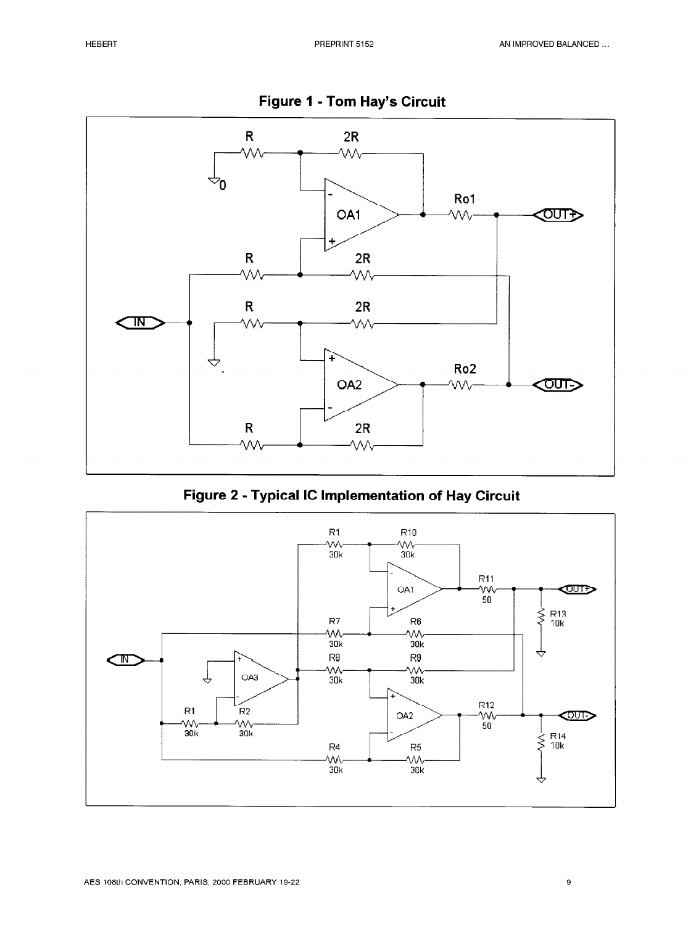

**Figure 1 - Tom Hay's Circuit** 

**Figure 2 - Typical IC Implementation of Hay Circuit** 

![](_page_9_Figure_6.jpeg)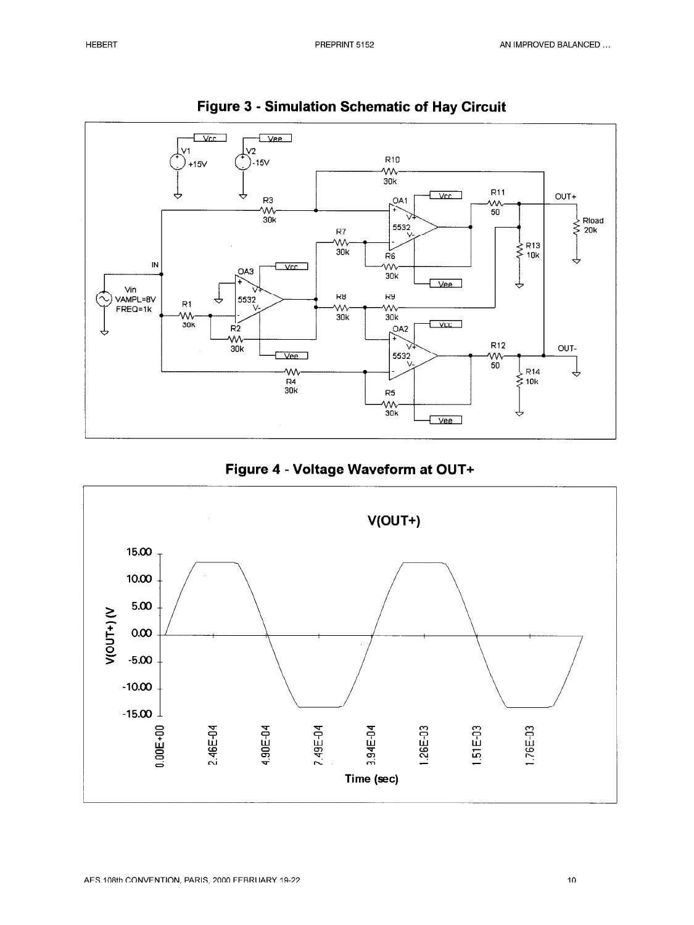![](_page_10_Figure_3.jpeg)

![](_page_10_Figure_4.jpeg)

![](_page_10_Figure_5.jpeg)

![](_page_10_Figure_6.jpeg)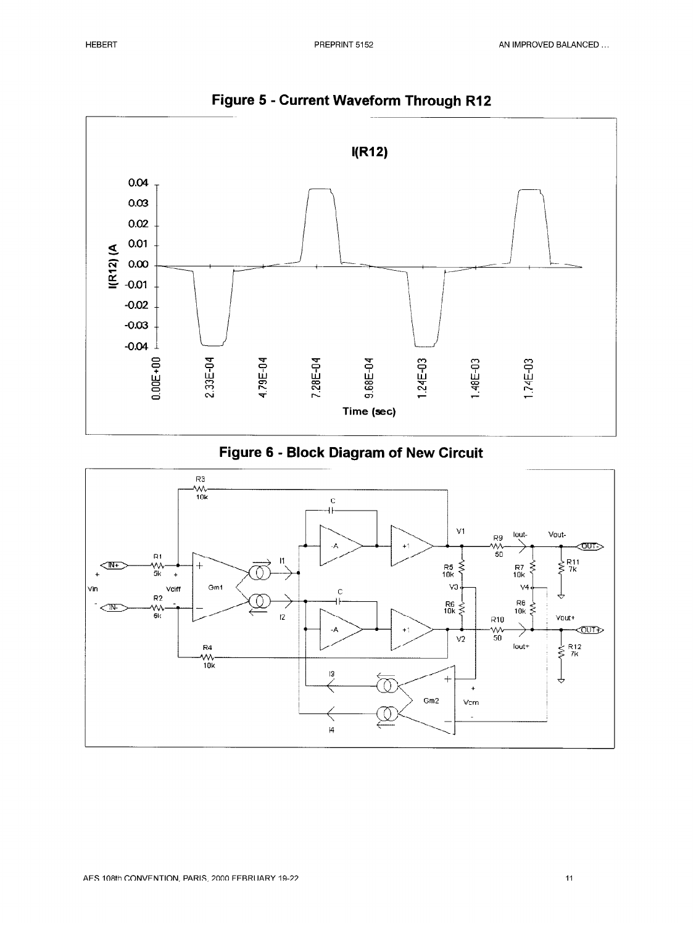![](_page_11_Figure_3.jpeg)

**Figure 5 - Current Waveform Through RI2** 

![](_page_11_Figure_5.jpeg)

![](_page_11_Figure_6.jpeg)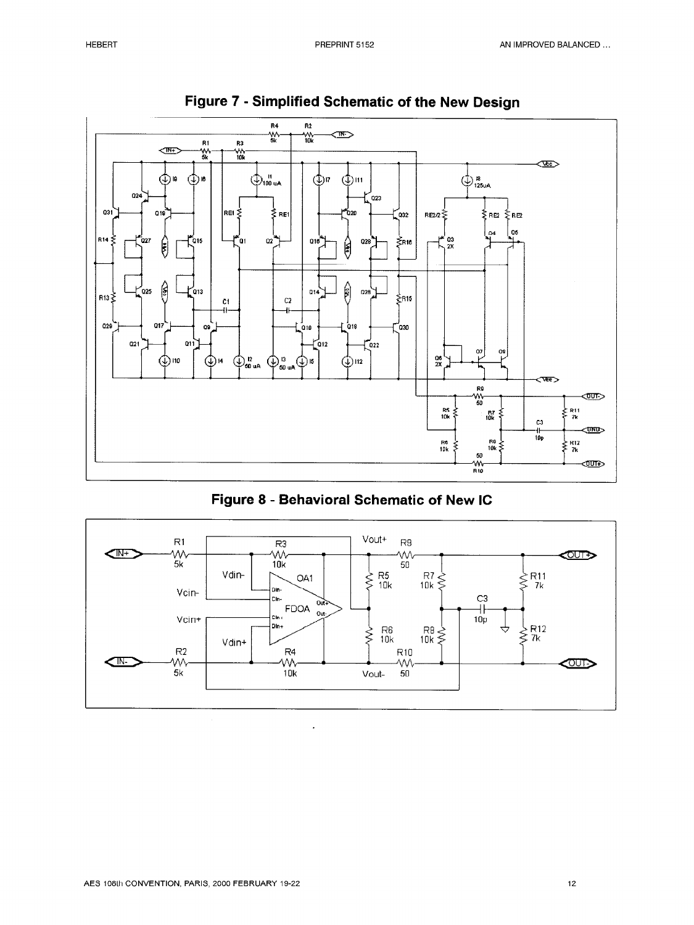![](_page_12_Figure_3.jpeg)

![](_page_12_Figure_4.jpeg)

![](_page_12_Figure_5.jpeg)

![](_page_12_Figure_6.jpeg)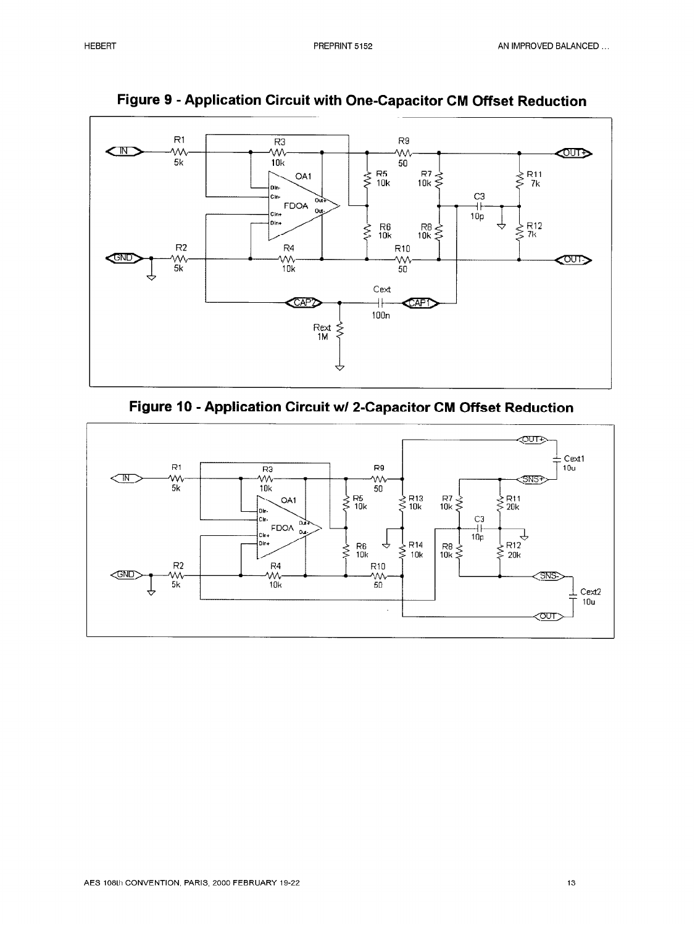![](_page_13_Figure_3.jpeg)

**Figure 9 - Application Circuit with One-Capacitor CM Offset Reduction** 

![](_page_13_Figure_5.jpeg)

![](_page_13_Figure_6.jpeg)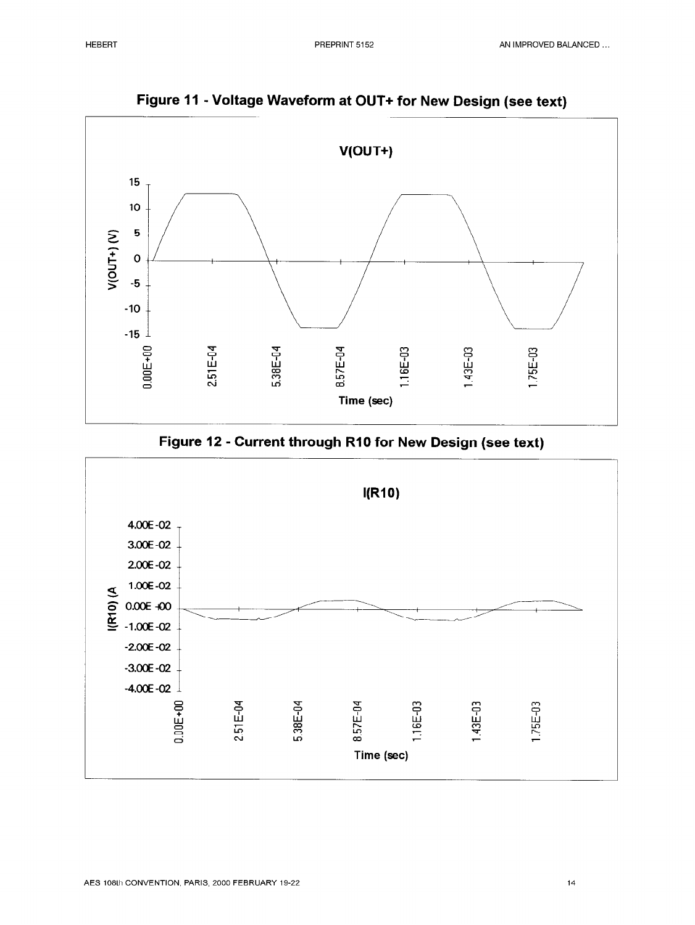![](_page_14_Figure_3.jpeg)

**Figure 11 - Voltage Waveform at OUT+ for New Design (see text)** 

![](_page_14_Figure_5.jpeg)

![](_page_14_Figure_6.jpeg)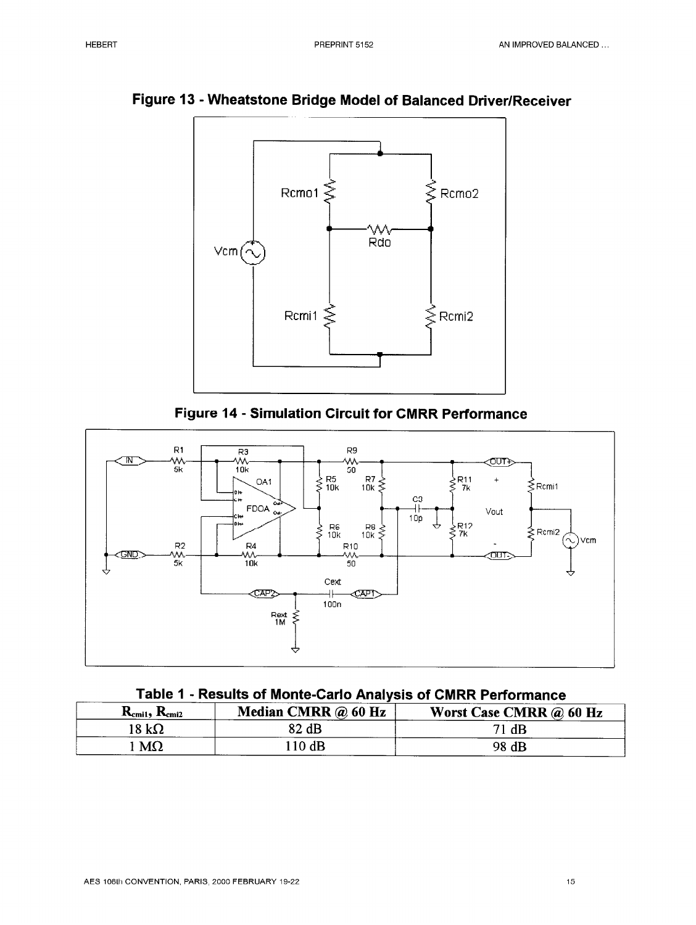![](_page_15_Figure_3.jpeg)

**Figure 13 - Wheatstone Bridge Model of Balanced Driver/Receiver** 

![](_page_15_Figure_5.jpeg)

![](_page_15_Figure_6.jpeg)

| Table 1 - Results of Monte-Carlo Analysis of CMRR Performance |
|---------------------------------------------------------------|
|---------------------------------------------------------------|

| $K_{cm1}$ , $K_{cm12}$ | <b>Median CMRR</b> $\omega$ 60 Hz | Worst Case CMRR @ 60 Hz |
|------------------------|-----------------------------------|-------------------------|
| ا 8 $\,$ kΩ            | 82 dB                             | dB<br>71.               |
| $M\Omega$              | 10dB                              | 98 dB                   |